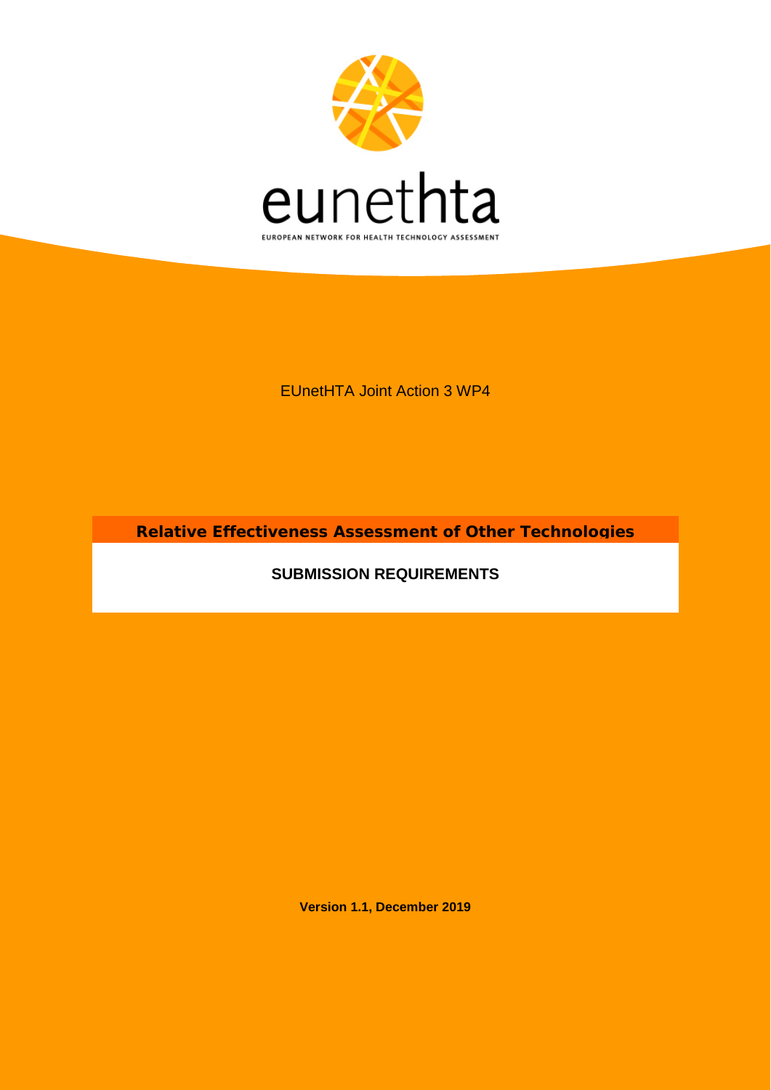

EUnetHTA Joint Action 3 WP4

**Relative Effectiveness Assessment of Other Technologies**

**SUBMISSION REQUIREMENTS**

**Version 1.1, December 2019**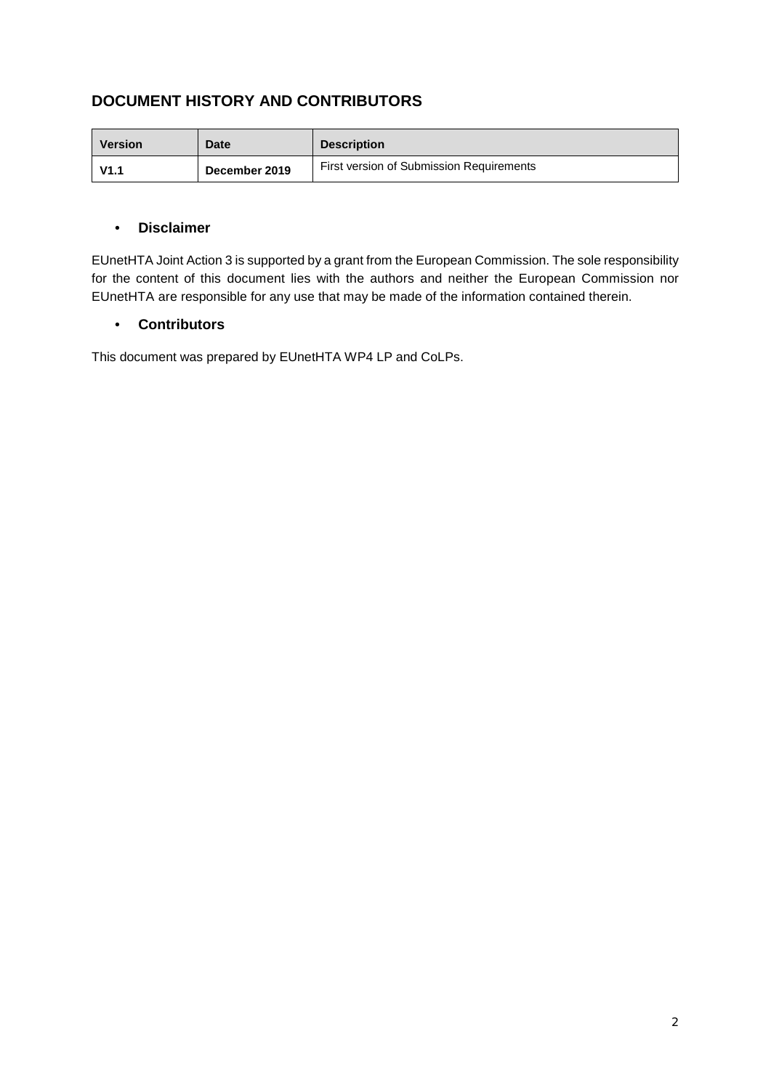# **DOCUMENT HISTORY AND CONTRIBUTORS**

| <b>Version</b> | <b>Date</b>   | <b>Description</b>                       |
|----------------|---------------|------------------------------------------|
| V1.1           | December 2019 | First version of Submission Requirements |

## • **Disclaimer**

EUnetHTA Joint Action 3 is supported by a grant from the European Commission. The sole responsibility for the content of this document lies with the authors and neither the European Commission nor EUnetHTA are responsible for any use that may be made of the information contained therein.

# • **Contributors**

This document was prepared by EUnetHTA WP4 LP and CoLPs.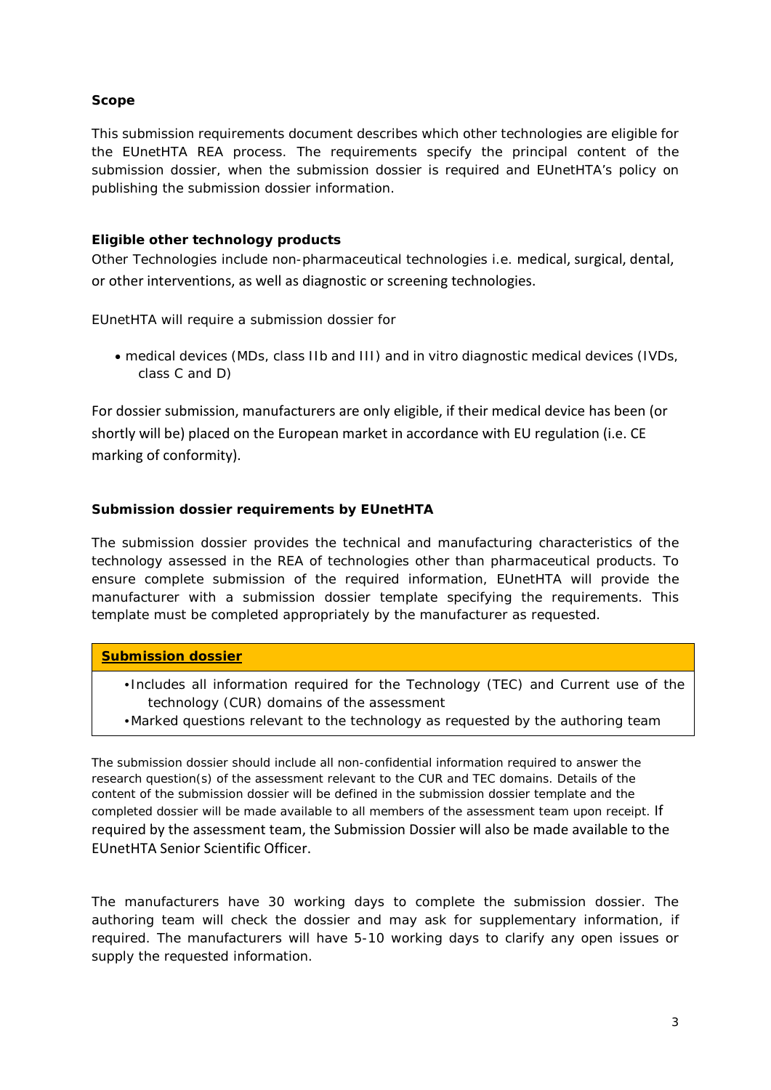## **Scope**

This submission requirements document describes which other technologies are eligible for the EUnetHTA REA process. The requirements specify the principal content of the submission dossier, when the submission dossier is required and EUnetHTA's policy on publishing the submission dossier information.

## **Eligible other technology products**

Other Technologies include non-pharmaceutical technologies i.e. medical, surgical, dental, or other interventions, as well as diagnostic or screening technologies.

EUnetHTA will require a submission dossier for

• medical devices (MDs, class IIb and III) and in vitro diagnostic medical devices (IVDs, class C and D)

For dossier submission, manufacturers are only eligible, if their medical device has been (or shortly will be) placed on the European market in accordance with EU regulation (i.e. CE marking of conformity).

# **Submission dossier requirements by EUnetHTA**

The submission dossier provides the technical and manufacturing characteristics of the technology assessed in the REA of technologies other than pharmaceutical products. To ensure complete submission of the required information, EUnetHTA will provide the manufacturer with a submission dossier template specifying the requirements. This template must be completed appropriately by the manufacturer as requested.

#### **Submission dossier**

- Includes all information required for the Technology (TEC) and Current use of the technology (CUR) domains of the assessment
- •Marked questions relevant to the technology as requested by the authoring team

The submission dossier should include all non-confidential information required to answer the research question(s) of the assessment relevant to the CUR and TEC domains. Details of the content of the submission dossier will be defined in the submission dossier template and the completed dossier will be made available to all members of the assessment team upon receipt. If required by the assessment team, the Submission Dossier will also be made available to the EUnetHTA Senior Scientific Officer.

The manufacturers have 30 working days to complete the submission dossier. The authoring team will check the dossier and may ask for supplementary information, if required. The manufacturers will have 5-10 working days to clarify any open issues or supply the requested information.